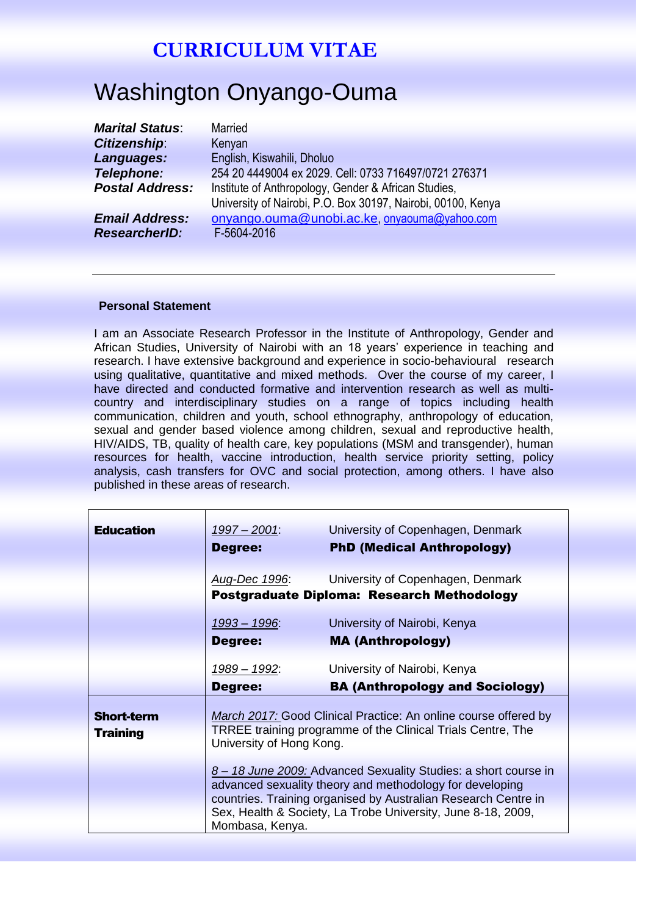# Washington Onyango-Ouma

| <b>Marital Status:</b> | <b>Married</b>                                               |
|------------------------|--------------------------------------------------------------|
| Citizenship:           | Kenyan                                                       |
| Languages:             | English, Kiswahili, Dholuo                                   |
| <b>Telephone:</b>      | 254 20 4449004 ex 2029. Cell: 0733 716497/0721 276371        |
| <b>Postal Address:</b> | Institute of Anthropology, Gender & African Studies,         |
|                        | University of Nairobi, P.O. Box 30197, Nairobi, 00100, Kenya |
| <b>Email Address:</b>  | onyango.ouma@unobi.ac.ke, onyaouma@yahoo.com                 |
| <b>ResearcherID:</b>   | F-5604-2016                                                  |
|                        |                                                              |

#### **Personal Statement**

I am an Associate Research Professor in the Institute of Anthropology, Gender and African Studies, University of Nairobi with an 18 years' experience in teaching and research. I have extensive background and experience in socio-behavioural research using qualitative, quantitative and mixed methods. Over the course of my career, I have directed and conducted formative and intervention research as well as multicountry and interdisciplinary studies on a range of topics including health communication, children and youth, school ethnography, anthropology of education, sexual and gender based violence among children, sexual and reproductive health, HIV/AIDS, TB, quality of health care, key populations (MSM and transgender), human resources for health, vaccine introduction, health service priority setting, policy analysis, cash transfers for OVC and social protection, among others. I have also published in these areas of research.

| <b>Education</b>                     | $1997 - 2001$<br>Degree:        | University of Copenhagen, Denmark<br><b>PhD (Medical Anthropology)</b>                                                                                                                                                                                        |
|--------------------------------------|---------------------------------|---------------------------------------------------------------------------------------------------------------------------------------------------------------------------------------------------------------------------------------------------------------|
|                                      | <u>Aug-Dec 1996:</u>            | University of Copenhagen, Denmark<br>Postgraduate Diploma: Research Methodology                                                                                                                                                                               |
|                                      | 1993 - 1996:<br>Degree:         | University of Nairobi, Kenya<br><b>MA (Anthropology)</b>                                                                                                                                                                                                      |
|                                      | <u> 1989 – 1992:</u><br>Degree: | University of Nairobi, Kenya<br><b>BA (Anthropology and Sociology)</b>                                                                                                                                                                                        |
| <b>Short-term</b><br><b>Training</b> | University of Hong Kong.        | March 2017: Good Clinical Practice: An online course offered by<br>TRREE training programme of the Clinical Trials Centre, The                                                                                                                                |
|                                      | Mombasa, Kenya.                 | 8 - 18 June 2009: Advanced Sexuality Studies: a short course in<br>advanced sexuality theory and methodology for developing<br>countries. Training organised by Australian Research Centre in<br>Sex, Health & Society, La Trobe University, June 8-18, 2009, |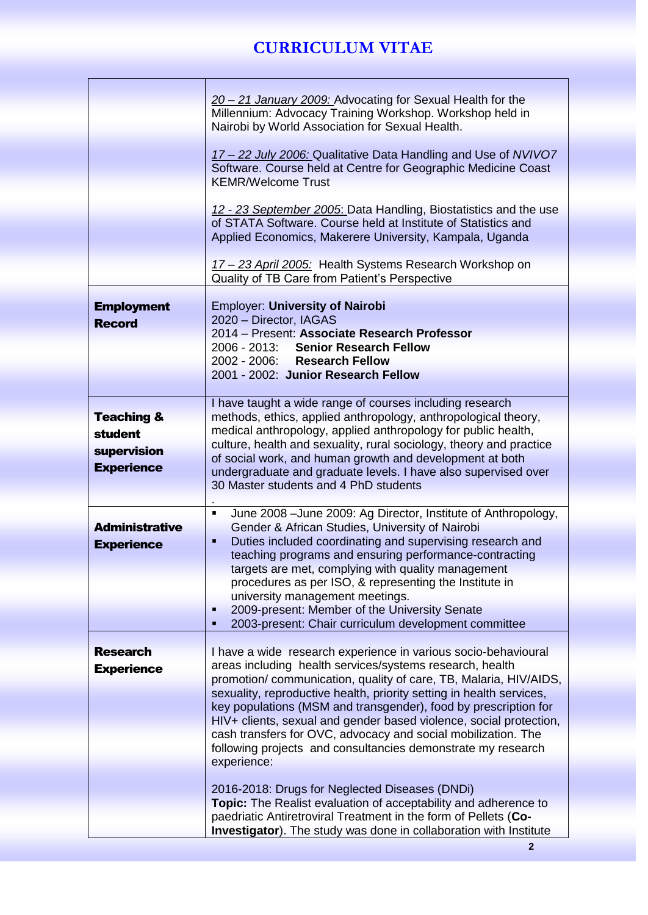|                       | 20 - 21 January 2009: Advocating for Sexual Health for the                |
|-----------------------|---------------------------------------------------------------------------|
|                       | Millennium: Advocacy Training Workshop. Workshop held in                  |
|                       |                                                                           |
|                       | Nairobi by World Association for Sexual Health.                           |
|                       |                                                                           |
|                       | 17 - 22 July 2006: Qualitative Data Handling and Use of NVIVO7            |
|                       | Software. Course held at Centre for Geographic Medicine Coast             |
|                       | <b>KEMR/Welcome Trust</b>                                                 |
|                       |                                                                           |
|                       |                                                                           |
|                       | 12 - 23 September 2005: Data Handling, Biostatistics and the use          |
|                       | of STATA Software. Course held at Institute of Statistics and             |
|                       | Applied Economics, Makerere University, Kampala, Uganda                   |
|                       |                                                                           |
|                       | 17-23 April 2005: Health Systems Research Workshop on                     |
|                       |                                                                           |
|                       | Quality of TB Care from Patient's Perspective                             |
|                       |                                                                           |
| <b>Employment</b>     | <b>Employer: University of Nairobi</b>                                    |
| <b>Record</b>         | 2020 - Director, IAGAS                                                    |
|                       | 2014 - Present: Associate Research Professor                              |
|                       | 2006 - 2013: Senior Research Fellow                                       |
|                       |                                                                           |
|                       | 2002 - 2006: Research Fellow                                              |
|                       | 2001 - 2002: Junior Research Fellow                                       |
|                       |                                                                           |
|                       | I have taught a wide range of courses including research                  |
| <b>Teaching &amp;</b> | methods, ethics, applied anthropology, anthropological theory,            |
|                       |                                                                           |
| <b>student</b>        | medical anthropology, applied anthropology for public health,             |
| supervision           | culture, health and sexuality, rural sociology, theory and practice       |
|                       | of social work, and human growth and development at both                  |
| <b>Experience</b>     | undergraduate and graduate levels. I have also supervised over            |
|                       | 30 Master students and 4 PhD students                                     |
|                       |                                                                           |
|                       |                                                                           |
|                       | June 2008 - June 2009: Ag Director, Institute of Anthropology,<br>٠       |
| <b>Administrative</b> | Gender & African Studies, University of Nairobi                           |
| <b>Experience</b>     | Duties included coordinating and supervising research and<br>٠            |
|                       | teaching programs and ensuring performance-contracting                    |
|                       | targets are met, complying with quality management                        |
|                       |                                                                           |
|                       | procedures as per ISO, & representing the Institute in                    |
|                       | university management meetings.                                           |
|                       | 2009-present: Member of the University Senate<br>п                        |
|                       | 2003-present: Chair curriculum development committee                      |
|                       |                                                                           |
| <b>Research</b>       | I have a wide research experience in various socio-behavioural            |
|                       |                                                                           |
| <b>Experience</b>     | areas including health services/systems research, health                  |
|                       | promotion/communication, quality of care, TB, Malaria, HIV/AIDS,          |
|                       | sexuality, reproductive health, priority setting in health services,      |
|                       | key populations (MSM and transgender), food by prescription for           |
|                       | HIV+ clients, sexual and gender based violence, social protection,        |
|                       | cash transfers for OVC, advocacy and social mobilization. The             |
|                       |                                                                           |
|                       | following projects and consultancies demonstrate my research              |
|                       | experience:                                                               |
|                       |                                                                           |
|                       | 2016-2018: Drugs for Neglected Diseases (DNDi)                            |
|                       | Topic: The Realist evaluation of acceptability and adherence to           |
|                       | paedriatic Antiretroviral Treatment in the form of Pellets (Co-           |
|                       |                                                                           |
|                       | <b>Investigator</b> ). The study was done in collaboration with Institute |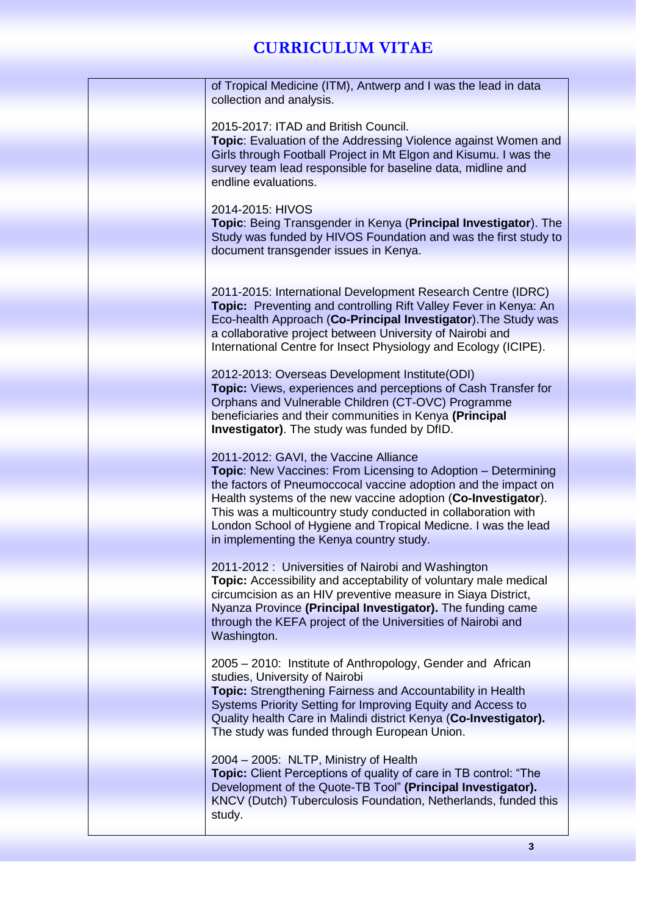| of Tropical Medicine (ITM), Antwerp and I was the lead in data<br>collection and analysis.                                                                                                                                                                                                                                                                                            |
|---------------------------------------------------------------------------------------------------------------------------------------------------------------------------------------------------------------------------------------------------------------------------------------------------------------------------------------------------------------------------------------|
|                                                                                                                                                                                                                                                                                                                                                                                       |
| 2015-2017: ITAD and British Council.<br><b>Topic:</b> Evaluation of the Addressing Violence against Women and<br>Girls through Football Project in Mt Elgon and Kisumu. I was the<br>survey team lead responsible for baseline data, midline and<br>endline evaluations.                                                                                                              |
|                                                                                                                                                                                                                                                                                                                                                                                       |
| 2014-2015: HIVOS<br>Topic: Being Transgender in Kenya (Principal Investigator). The<br>Study was funded by HIVOS Foundation and was the first study to<br>document transgender issues in Kenya.                                                                                                                                                                                       |
|                                                                                                                                                                                                                                                                                                                                                                                       |
| 2011-2015: International Development Research Centre (IDRC)<br>Topic: Preventing and controlling Rift Valley Fever in Kenya: An<br>Eco-health Approach (Co-Principal Investigator). The Study was<br>a collaborative project between University of Nairobi and<br>International Centre for Insect Physiology and Ecology (ICIPE).                                                     |
| 2012-2013: Overseas Development Institute (ODI)                                                                                                                                                                                                                                                                                                                                       |
| Topic: Views, experiences and perceptions of Cash Transfer for<br>Orphans and Vulnerable Children (CT-OVC) Programme<br>beneficiaries and their communities in Kenya (Principal<br><b>Investigator)</b> . The study was funded by DfID.                                                                                                                                               |
| 2011-2012: GAVI, the Vaccine Alliance                                                                                                                                                                                                                                                                                                                                                 |
| <b>Topic:</b> New Vaccines: From Licensing to Adoption – Determining<br>the factors of Pneumoccocal vaccine adoption and the impact on<br>Health systems of the new vaccine adoption (Co-Investigator).<br>This was a multicountry study conducted in collaboration with<br>London School of Hygiene and Tropical Medicne. I was the lead<br>in implementing the Kenya country study. |
| 2011-2012: Universities of Nairobi and Washington                                                                                                                                                                                                                                                                                                                                     |
| Topic: Accessibility and acceptability of voluntary male medical<br>circumcision as an HIV preventive measure in Siaya District,<br>Nyanza Province (Principal Investigator). The funding came<br>through the KEFA project of the Universities of Nairobi and<br>Washington.                                                                                                          |
| 2005 – 2010: Institute of Anthropology, Gender and African<br>studies, University of Nairobi                                                                                                                                                                                                                                                                                          |
| <b>Topic:</b> Strengthening Fairness and Accountability in Health                                                                                                                                                                                                                                                                                                                     |
| Systems Priority Setting for Improving Equity and Access to<br>Quality health Care in Malindi district Kenya (Co-Investigator).<br>The study was funded through European Union.                                                                                                                                                                                                       |
|                                                                                                                                                                                                                                                                                                                                                                                       |
| 2004 - 2005: NLTP, Ministry of Health<br>Topic: Client Perceptions of quality of care in TB control: "The                                                                                                                                                                                                                                                                             |
| Development of the Quote-TB Tool" (Principal Investigator).<br>KNCV (Dutch) Tuberculosis Foundation, Netherlands, funded this<br>study.                                                                                                                                                                                                                                               |
|                                                                                                                                                                                                                                                                                                                                                                                       |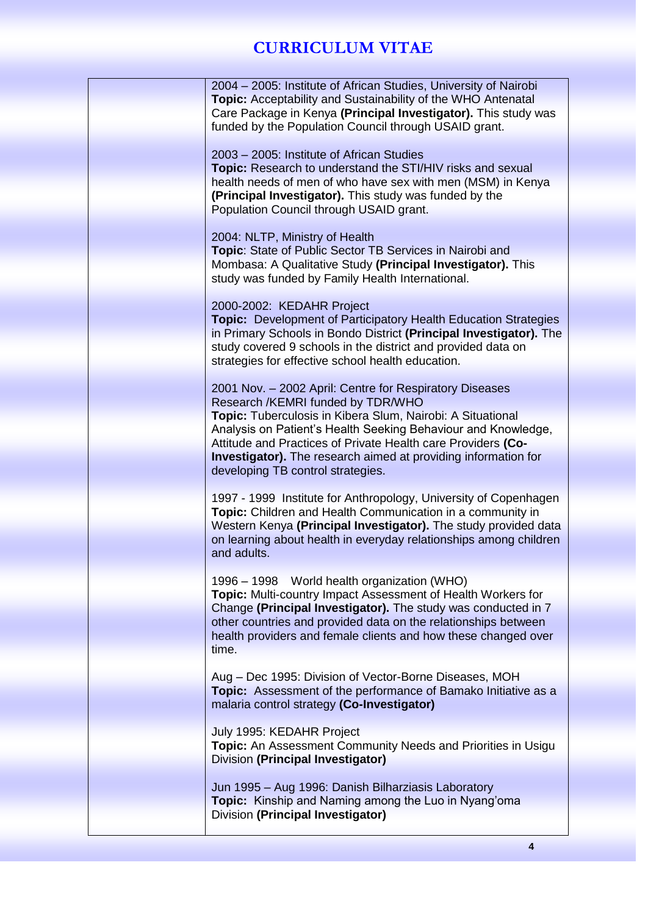| 2004 - 2005: Institute of African Studies, University of Nairobi<br><b>Topic:</b> Acceptability and Sustainability of the WHO Antenatal<br>Care Package in Kenya (Principal Investigator). This study was<br>funded by the Population Council through USAID grant.                                                                                                                                        |
|-----------------------------------------------------------------------------------------------------------------------------------------------------------------------------------------------------------------------------------------------------------------------------------------------------------------------------------------------------------------------------------------------------------|
| 2003 – 2005: Institute of African Studies<br>Topic: Research to understand the STI/HIV risks and sexual<br>health needs of men of who have sex with men (MSM) in Kenya<br>(Principal Investigator). This study was funded by the<br>Population Council through USAID grant.                                                                                                                               |
| 2004: NLTP, Ministry of Health<br>Topic: State of Public Sector TB Services in Nairobi and<br>Mombasa: A Qualitative Study (Principal Investigator). This<br>study was funded by Family Health International.                                                                                                                                                                                             |
| 2000-2002: KEDAHR Project<br><b>Topic:</b> Development of Participatory Health Education Strategies<br>in Primary Schools in Bondo District (Principal Investigator). The<br>study covered 9 schools in the district and provided data on<br>strategies for effective school health education.                                                                                                            |
| 2001 Nov. - 2002 April: Centre for Respiratory Diseases<br>Research /KEMRI funded by TDR/WHO<br>Topic: Tuberculosis in Kibera Slum, Nairobi: A Situational<br>Analysis on Patient's Health Seeking Behaviour and Knowledge,<br>Attitude and Practices of Private Health care Providers (Co-<br><b>Investigator).</b> The research aimed at providing information for<br>developing TB control strategies. |
| 1997 - 1999 Institute for Anthropology, University of Copenhagen<br>Topic: Children and Health Communication in a community in<br>Western Kenya (Principal Investigator). The study provided data<br>on learning about health in everyday relationships among children<br>and adults.                                                                                                                     |
| 1996 – 1998 World health organization (WHO)<br>Topic: Multi-country Impact Assessment of Health Workers for<br>Change (Principal Investigator). The study was conducted in 7<br>other countries and provided data on the relationships between<br>health providers and female clients and how these changed over<br>time.                                                                                 |
| Aug - Dec 1995: Division of Vector-Borne Diseases, MOH<br>Topic: Assessment of the performance of Bamako Initiative as a<br>malaria control strategy (Co-Investigator)                                                                                                                                                                                                                                    |
| July 1995: KEDAHR Project<br><b>Topic:</b> An Assessment Community Needs and Priorities in Usigu<br>Division (Principal Investigator)                                                                                                                                                                                                                                                                     |
| Jun 1995 - Aug 1996: Danish Bilharziasis Laboratory<br><b>Topic:</b> Kinship and Naming among the Luo in Nyang'oma<br>Division (Principal Investigator)                                                                                                                                                                                                                                                   |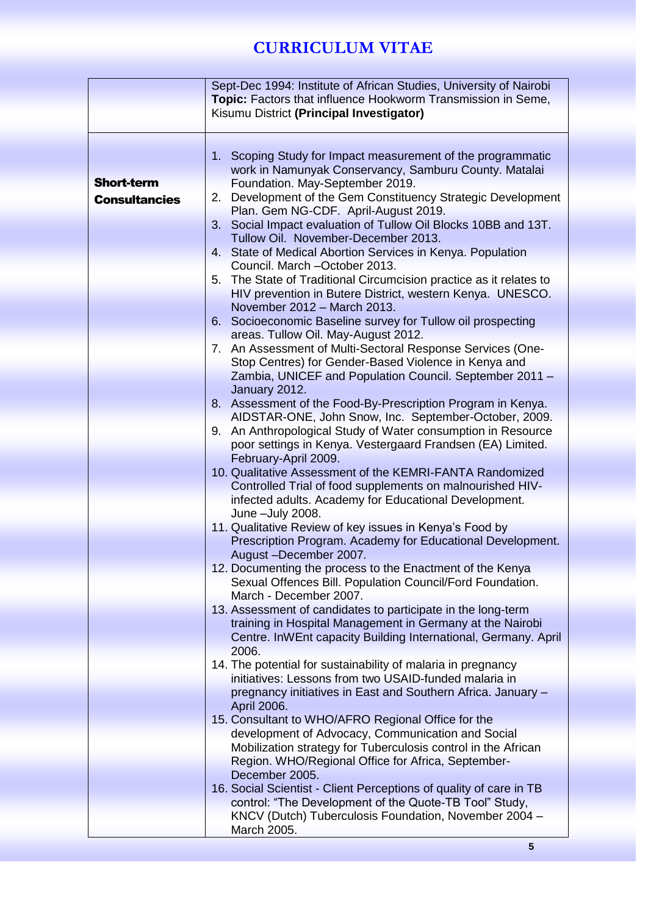|                      | Sept-Dec 1994: Institute of African Studies, University of Nairobi<br>Topic: Factors that influence Hookworm Transmission in Seme, |
|----------------------|------------------------------------------------------------------------------------------------------------------------------------|
|                      | Kisumu District (Principal Investigator)                                                                                           |
|                      |                                                                                                                                    |
|                      |                                                                                                                                    |
|                      | 1. Scoping Study for Impact measurement of the programmatic<br>work in Namunyak Conservancy, Samburu County. Matalai               |
| <b>Short-term</b>    | Foundation. May-September 2019.                                                                                                    |
| <b>Consultancies</b> | Development of the Gem Constituency Strategic Development<br>2.                                                                    |
|                      | Plan. Gem NG-CDF. April-August 2019.                                                                                               |
|                      | 3. Social Impact evaluation of Tullow Oil Blocks 10BB and 13T.                                                                     |
|                      | Tullow Oil. November-December 2013.                                                                                                |
|                      | State of Medical Abortion Services in Kenya. Population<br>4.                                                                      |
|                      | Council. March -October 2013.                                                                                                      |
|                      | The State of Traditional Circumcision practice as it relates to<br>5.<br>HIV prevention in Butere District, western Kenya. UNESCO. |
|                      | November 2012 - March 2013.                                                                                                        |
|                      | 6. Socioeconomic Baseline survey for Tullow oil prospecting                                                                        |
|                      | areas. Tullow Oil. May-August 2012.                                                                                                |
|                      | 7. An Assessment of Multi-Sectoral Response Services (One-                                                                         |
|                      | Stop Centres) for Gender-Based Violence in Kenya and                                                                               |
|                      | Zambia, UNICEF and Population Council. September 2011 -<br>January 2012.                                                           |
|                      | 8. Assessment of the Food-By-Prescription Program in Kenya.                                                                        |
|                      | AIDSTAR-ONE, John Snow, Inc. September-October, 2009.                                                                              |
|                      | An Anthropological Study of Water consumption in Resource<br>9.                                                                    |
|                      | poor settings in Kenya. Vestergaard Frandsen (EA) Limited.                                                                         |
|                      | February-April 2009.                                                                                                               |
|                      | 10. Qualitative Assessment of the KEMRI-FANTA Randomized<br>Controlled Trial of food supplements on malnourished HIV-              |
|                      | infected adults. Academy for Educational Development.                                                                              |
|                      | June -July 2008.                                                                                                                   |
|                      | 11. Qualitative Review of key issues in Kenya's Food by                                                                            |
|                      | Prescription Program. Academy for Educational Development.                                                                         |
|                      | August-December 2007.                                                                                                              |
|                      | 12. Documenting the process to the Enactment of the Kenya<br>Sexual Offences Bill. Population Council/Ford Foundation.             |
|                      | March - December 2007.                                                                                                             |
|                      | 13. Assessment of candidates to participate in the long-term                                                                       |
|                      | training in Hospital Management in Germany at the Nairobi                                                                          |
|                      | Centre. InWEnt capacity Building International, Germany. April                                                                     |
|                      | 2006.                                                                                                                              |
|                      | 14. The potential for sustainability of malaria in pregnancy<br>initiatives: Lessons from two USAID-funded malaria in              |
|                      | pregnancy initiatives in East and Southern Africa. January -                                                                       |
|                      | April 2006.                                                                                                                        |
|                      | 15. Consultant to WHO/AFRO Regional Office for the                                                                                 |
|                      | development of Advocacy, Communication and Social                                                                                  |
|                      | Mobilization strategy for Tuberculosis control in the African                                                                      |
|                      | Region. WHO/Regional Office for Africa, September-<br>December 2005.                                                               |
|                      | 16. Social Scientist - Client Perceptions of quality of care in TB                                                                 |
|                      | control: "The Development of the Quote-TB Tool" Study,                                                                             |
|                      | KNCV (Dutch) Tuberculosis Foundation, November 2004 -                                                                              |
|                      | March 2005.                                                                                                                        |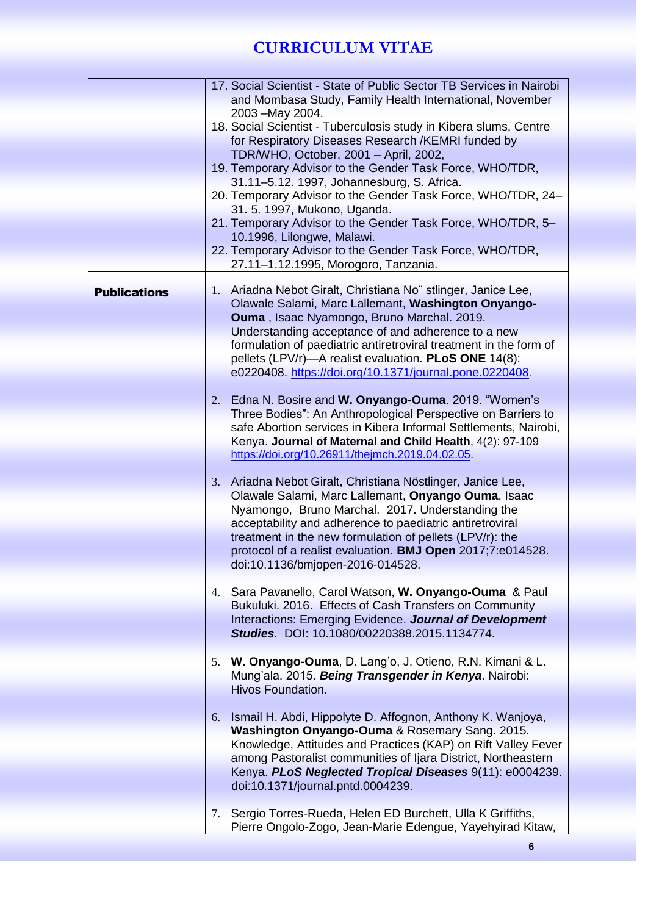|                     |    | 17. Social Scientist - State of Public Sector TB Services in Nairobi                                                         |
|---------------------|----|------------------------------------------------------------------------------------------------------------------------------|
|                     |    | and Mombasa Study, Family Health International, November                                                                     |
|                     |    | 2003 - May 2004.<br>18. Social Scientist - Tuberculosis study in Kibera slums, Centre                                        |
|                     |    | for Respiratory Diseases Research /KEMRI funded by                                                                           |
|                     |    | TDR/WHO, October, 2001 - April, 2002,                                                                                        |
|                     |    | 19. Temporary Advisor to the Gender Task Force, WHO/TDR,                                                                     |
|                     |    | 31.11-5.12. 1997, Johannesburg, S. Africa.                                                                                   |
|                     |    | 20. Temporary Advisor to the Gender Task Force, WHO/TDR, 24-                                                                 |
|                     |    | 31. 5. 1997, Mukono, Uganda.                                                                                                 |
|                     |    | 21. Temporary Advisor to the Gender Task Force, WHO/TDR, 5-                                                                  |
|                     |    | 10.1996, Lilongwe, Malawi.                                                                                                   |
|                     |    | 22. Temporary Advisor to the Gender Task Force, WHO/TDR,                                                                     |
|                     |    | 27.11-1.12.1995, Morogoro, Tanzania.                                                                                         |
| <b>Publications</b> | 1. | Ariadna Nebot Giralt, Christiana No" stlinger, Janice Lee,                                                                   |
|                     |    | Olawale Salami, Marc Lallemant, Washington Onyango-                                                                          |
|                     |    | Ouma, Isaac Nyamongo, Bruno Marchal. 2019.                                                                                   |
|                     |    | Understanding acceptance of and adherence to a new                                                                           |
|                     |    | formulation of paediatric antiretroviral treatment in the form of                                                            |
|                     |    | pellets (LPV/r)—A realist evaluation. PLoS ONE 14(8):                                                                        |
|                     |    | e0220408. https://doi.org/10.1371/journal.pone.0220408.                                                                      |
|                     |    |                                                                                                                              |
|                     | 2. | Edna N. Bosire and W. Onyango-Ouma. 2019. "Women's                                                                           |
|                     |    | Three Bodies": An Anthropological Perspective on Barriers to                                                                 |
|                     |    | safe Abortion services in Kibera Informal Settlements, Nairobi,<br>Kenya. Journal of Maternal and Child Health, 4(2): 97-109 |
|                     |    | https://doi.org/10.26911/thejmch.2019.04.02.05                                                                               |
|                     |    |                                                                                                                              |
|                     | 3. | Ariadna Nebot Giralt, Christiana Nöstlinger, Janice Lee,                                                                     |
|                     |    | Olawale Salami, Marc Lallemant, Onyango Ouma, Isaac                                                                          |
|                     |    | Nyamongo, Bruno Marchal. 2017. Understanding the                                                                             |
|                     |    | acceptability and adherence to paediatric antiretroviral                                                                     |
|                     |    | treatment in the new formulation of pellets (LPV/r): the                                                                     |
|                     |    | protocol of a realist evaluation. BMJ Open 2017;7:e014528.                                                                   |
|                     |    | doi:10.1136/bmjopen-2016-014528.                                                                                             |
|                     |    |                                                                                                                              |
|                     |    | 4. Sara Pavanello, Carol Watson, W. Onyango-Ouma & Paul<br>Bukuluki. 2016. Effects of Cash Transfers on Community            |
|                     |    | Interactions: Emerging Evidence. Journal of Development                                                                      |
|                     |    | Studies. DOI: 10.1080/00220388.2015.1134774.                                                                                 |
|                     |    |                                                                                                                              |
|                     | 5. | W. Onyango-Ouma, D. Lang'o, J. Otieno, R.N. Kimani & L.                                                                      |
|                     |    | Mung'ala. 2015. Being Transgender in Kenya. Nairobi:                                                                         |
|                     |    | Hivos Foundation.                                                                                                            |
|                     |    |                                                                                                                              |
|                     | 6. | Ismail H. Abdi, Hippolyte D. Affognon, Anthony K. Wanjoya,                                                                   |
|                     |    | Washington Onyango-Ouma & Rosemary Sang. 2015.                                                                               |
|                     |    | Knowledge, Attitudes and Practices (KAP) on Rift Valley Fever                                                                |
|                     |    | among Pastoralist communities of Ijara District, Northeastern                                                                |
|                     |    | Kenya. PLoS Neglected Tropical Diseases 9(11): e0004239.                                                                     |
|                     |    | doi:10.1371/journal.pntd.0004239.                                                                                            |
|                     |    |                                                                                                                              |
|                     | 7. | Sergio Torres-Rueda, Helen ED Burchett, Ulla K Griffiths,                                                                    |
|                     |    | Pierre Ongolo-Zogo, Jean-Marie Edengue, Yayehyirad Kitaw,                                                                    |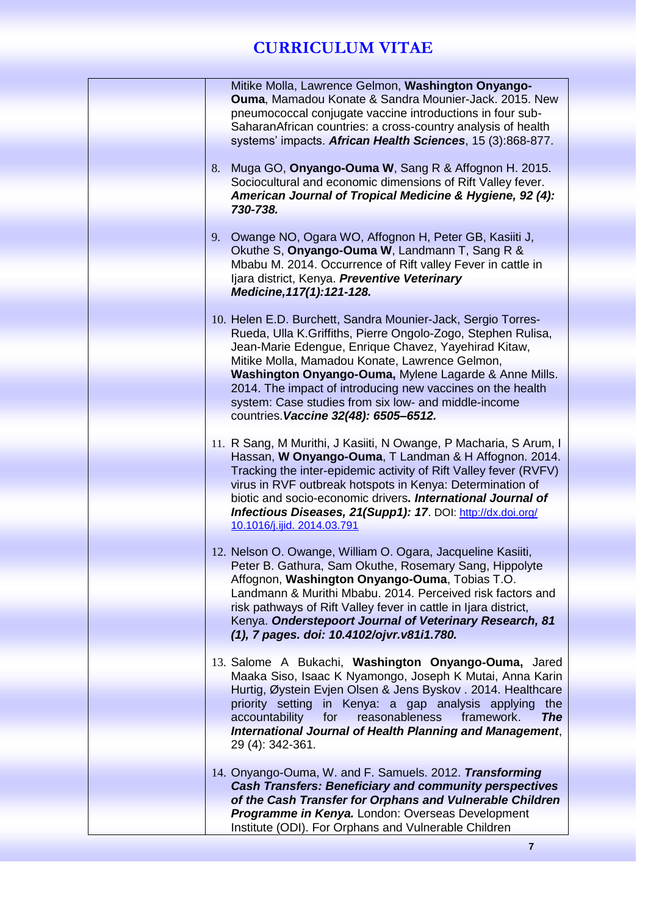| Mitike Molla, Lawrence Gelmon, Washington Onyango-<br>Ouma, Mamadou Konate & Sandra Mounier-Jack. 2015. New                      |
|----------------------------------------------------------------------------------------------------------------------------------|
| pneumococcal conjugate vaccine introductions in four sub-                                                                        |
| Saharan African countries: a cross-country analysis of health<br>systems' impacts. African Health Sciences, 15 (3):868-877.      |
|                                                                                                                                  |
| Muga GO, Onyango-Ouma W, Sang R & Affognon H. 2015.<br>8.<br>Sociocultural and economic dimensions of Rift Valley fever.         |
| American Journal of Tropical Medicine & Hygiene, 92 (4):                                                                         |
| 730-738.                                                                                                                         |
| 9. Owange NO, Ogara WO, Affognon H, Peter GB, Kasiiti J,                                                                         |
| Okuthe S, Onyango-Ouma W, Landmann T, Sang R &                                                                                   |
| Mbabu M. 2014. Occurrence of Rift valley Fever in cattle in<br>Ijara district, Kenya. Preventive Veterinary                      |
| Medicine, 117(1): 121-128.                                                                                                       |
|                                                                                                                                  |
| 10. Helen E.D. Burchett, Sandra Mounier-Jack, Sergio Torres-<br>Rueda, Ulla K.Griffiths, Pierre Ongolo-Zogo, Stephen Rulisa,     |
| Jean-Marie Edengue, Enrique Chavez, Yayehirad Kitaw,                                                                             |
| Mitike Molla, Mamadou Konate, Lawrence Gelmon,<br>Washington Onyango-Ouma, Mylene Lagarde & Anne Mills.                          |
| 2014. The impact of introducing new vaccines on the health                                                                       |
| system: Case studies from six low- and middle-income                                                                             |
| countries. Vaccine 32(48): 6505-6512.                                                                                            |
| 11. R Sang, M Murithi, J Kasiiti, N Owange, P Macharia, S Arum, I                                                                |
| Hassan, W Onyango-Ouma, T Landman & H Affognon. 2014.                                                                            |
| Tracking the inter-epidemic activity of Rift Valley fever (RVFV)<br>virus in RVF outbreak hotspots in Kenya: Determination of    |
| biotic and socio-economic drivers. International Journal of                                                                      |
| Infectious Diseases, 21(Supp1): 17. DOI: http://dx.doi.org/<br>10.1016/j.ijid. 2014.03.791                                       |
|                                                                                                                                  |
| 12. Nelson O. Owange, William O. Ogara, Jacqueline Kasiiti,<br>Peter B. Gathura, Sam Okuthe, Rosemary Sang, Hippolyte            |
| Affognon, Washington Onyango-Ouma, Tobias T.O.                                                                                   |
| Landmann & Murithi Mbabu. 2014. Perceived risk factors and                                                                       |
| risk pathways of Rift Valley fever in cattle in Ijara district,<br>Kenya. Onderstepoort Journal of Veterinary Research, 81       |
| (1), 7 pages. doi: 10.4102/ojvr.v81i1.780.                                                                                       |
| 13. Salome A Bukachi, Washington Onyango-Ouma, Jared                                                                             |
| Maaka Siso, Isaac K Nyamongo, Joseph K Mutai, Anna Karin                                                                         |
| Hurtig, Øystein Evjen Olsen & Jens Byskov. 2014. Healthcare                                                                      |
| priority setting in Kenya: a gap analysis applying<br>the<br>for<br>reasonableness<br>framework.<br><b>The</b><br>accountability |
| International Journal of Health Planning and Management,                                                                         |
| 29 (4): 342-361.                                                                                                                 |
| 14. Onyango-Ouma, W. and F. Samuels. 2012. Transforming                                                                          |
| <b>Cash Transfers: Beneficiary and community perspectives</b>                                                                    |
| of the Cash Transfer for Orphans and Vulnerable Children<br>Programme in Kenya. London: Overseas Development                     |
| Institute (ODI). For Orphans and Vulnerable Children                                                                             |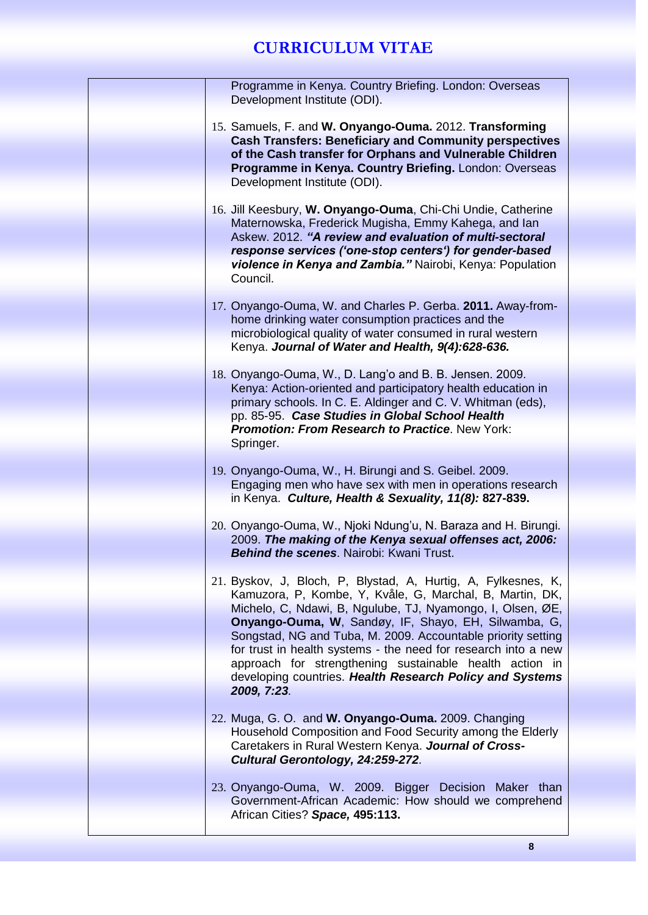| Programme in Kenya. Country Briefing. London: Overseas<br>Development Institute (ODI).                                                                                                                                                                                                                                                                                                                                                                                                                                  |
|-------------------------------------------------------------------------------------------------------------------------------------------------------------------------------------------------------------------------------------------------------------------------------------------------------------------------------------------------------------------------------------------------------------------------------------------------------------------------------------------------------------------------|
| 15. Samuels, F. and W. Onyango-Ouma. 2012. Transforming                                                                                                                                                                                                                                                                                                                                                                                                                                                                 |
| <b>Cash Transfers: Beneficiary and Community perspectives</b><br>of the Cash transfer for Orphans and Vulnerable Children                                                                                                                                                                                                                                                                                                                                                                                               |
| Programme in Kenya. Country Briefing. London: Overseas<br>Development Institute (ODI).                                                                                                                                                                                                                                                                                                                                                                                                                                  |
| 16. Jill Keesbury, W. Onyango-Ouma, Chi-Chi Undie, Catherine<br>Maternowska, Frederick Mugisha, Emmy Kahega, and lan<br>Askew. 2012. "A review and evaluation of multi-sectoral<br>response services ('one-stop centers') for gender-based                                                                                                                                                                                                                                                                              |
| violence in Kenya and Zambia." Nairobi, Kenya: Population<br>Council.                                                                                                                                                                                                                                                                                                                                                                                                                                                   |
| 17. Onyango-Ouma, W. and Charles P. Gerba. 2011. Away-from-<br>home drinking water consumption practices and the<br>microbiological quality of water consumed in rural western<br>Kenya. Journal of Water and Health, 9(4):628-636.                                                                                                                                                                                                                                                                                     |
| 18. Onyango-Ouma, W., D. Lang'o and B. B. Jensen. 2009.<br>Kenya: Action-oriented and participatory health education in<br>primary schools. In C. E. Aldinger and C. V. Whitman (eds),<br>pp. 85-95. Case Studies in Global School Health<br><b>Promotion: From Research to Practice. New York:</b><br>Springer.                                                                                                                                                                                                        |
| 19. Onyango-Ouma, W., H. Birungi and S. Geibel. 2009.<br>Engaging men who have sex with men in operations research<br>in Kenya. Culture, Health & Sexuality, 11(8): 827-839.                                                                                                                                                                                                                                                                                                                                            |
| 20. Onyango-Ouma, W., Njoki Ndung'u, N. Baraza and H. Birungi.<br>2009. The making of the Kenya sexual offenses act, 2006:<br><b>Behind the scenes.</b> Nairobi: Kwani Trust.                                                                                                                                                                                                                                                                                                                                           |
| 21. Byskov, J, Bloch, P, Blystad, A, Hurtig, A, Fylkesnes, K,<br>Kamuzora, P, Kombe, Y, Kvåle, G, Marchal, B, Martin, DK,<br>Michelo, C, Ndawi, B, Ngulube, TJ, Nyamongo, I, Olsen, ØE,<br>Onyango-Ouma, W, Sandøy, IF, Shayo, EH, Silwamba, G,<br>Songstad, NG and Tuba, M. 2009. Accountable priority setting<br>for trust in health systems - the need for research into a new<br>approach for strengthening sustainable health action in<br>developing countries. Health Research Policy and Systems<br>2009, 7:23. |
| 22. Muga, G. O. and W. Onyango-Ouma. 2009. Changing<br>Household Composition and Food Security among the Elderly<br>Caretakers in Rural Western Kenya. Journal of Cross-<br>Cultural Gerontology, 24:259-272.                                                                                                                                                                                                                                                                                                           |
| 23. Onyango-Ouma, W. 2009. Bigger Decision Maker than<br>Government-African Academic: How should we comprehend<br>African Cities? Space, 495:113.                                                                                                                                                                                                                                                                                                                                                                       |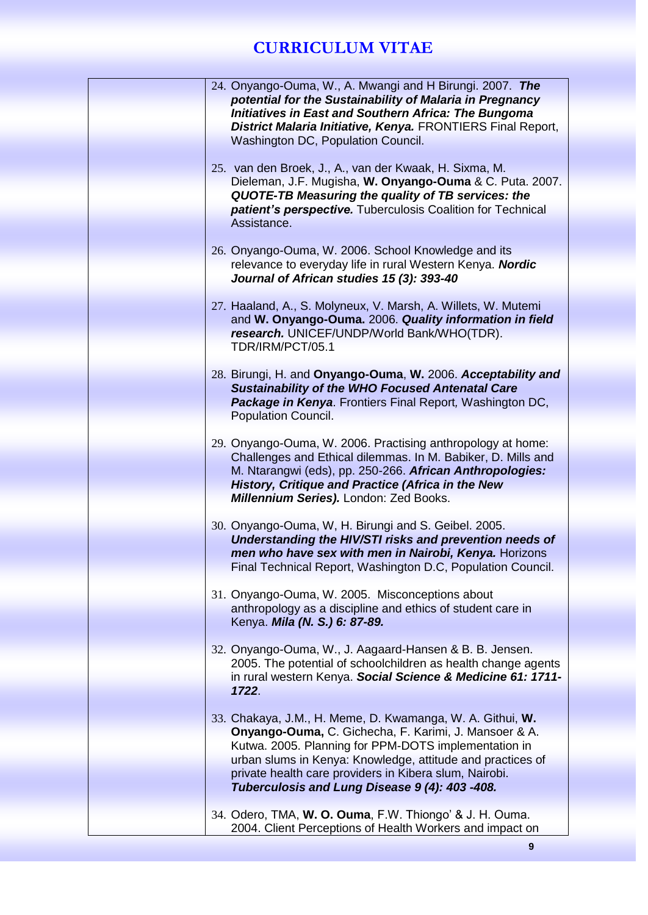| 24. Onyango-Ouma, W., A. Mwangi and H Birungi. 2007. The<br>potential for the Sustainability of Malaria in Pregnancy<br><b>Initiatives in East and Southern Africa: The Bungoma</b><br>District Malaria Initiative, Kenya. FRONTIERS Final Report,<br>Washington DC, Population Council.                                                             |  |
|------------------------------------------------------------------------------------------------------------------------------------------------------------------------------------------------------------------------------------------------------------------------------------------------------------------------------------------------------|--|
|                                                                                                                                                                                                                                                                                                                                                      |  |
| 25. van den Broek, J., A., van der Kwaak, H. Sixma, M.<br>Dieleman, J.F. Mugisha, W. Onyango-Ouma & C. Puta. 2007.<br>QUOTE-TB Measuring the quality of TB services: the<br>patient's perspective. Tuberculosis Coalition for Technical<br>Assistance.                                                                                               |  |
| 26. Onyango-Ouma, W. 2006. School Knowledge and its<br>relevance to everyday life in rural Western Kenya. Nordic<br>Journal of African studies 15 (3): 393-40                                                                                                                                                                                        |  |
| 27. Haaland, A., S. Molyneux, V. Marsh, A. Willets, W. Mutemi<br>and W. Onyango-Ouma. 2006. Quality information in field<br>research. UNICEF/UNDP/World Bank/WHO(TDR).<br>TDR/IRM/PCT/05.1                                                                                                                                                           |  |
| 28. Birungi, H. and Onyango-Ouma, W. 2006. Acceptability and<br><b>Sustainability of the WHO Focused Antenatal Care</b><br>Package in Kenya. Frontiers Final Report, Washington DC,<br><b>Population Council.</b>                                                                                                                                    |  |
| 29. Onyango-Ouma, W. 2006. Practising anthropology at home:<br>Challenges and Ethical dilemmas. In M. Babiker, D. Mills and<br>M. Ntarangwi (eds), pp. 250-266. African Anthropologies:<br>History, Critique and Practice (Africa in the New<br>Millennium Series). London: Zed Books.                                                               |  |
| 30. Onyango-Ouma, W, H. Birungi and S. Geibel. 2005.<br>Understanding the HIV/STI risks and prevention needs of<br>men who have sex with men in Nairobi, Kenya. Horizons<br>Final Technical Report, Washington D.C, Population Council.                                                                                                              |  |
| 31. Onyango-Ouma, W. 2005. Misconceptions about<br>anthropology as a discipline and ethics of student care in<br>Kenya. Mila (N. S.) 6: 87-89.                                                                                                                                                                                                       |  |
| 32. Onyango-Ouma, W., J. Aagaard-Hansen & B. B. Jensen.<br>2005. The potential of schoolchildren as health change agents<br>in rural western Kenya. Social Science & Medicine 61: 1711-<br>1722.                                                                                                                                                     |  |
| 33. Chakaya, J.M., H. Meme, D. Kwamanga, W. A. Githui, W.<br>Onyango-Ouma, C. Gichecha, F. Karimi, J. Mansoer & A.<br>Kutwa. 2005. Planning for PPM-DOTS implementation in<br>urban slums in Kenya: Knowledge, attitude and practices of<br>private health care providers in Kibera slum, Nairobi.<br>Tuberculosis and Lung Disease 9 (4): 403 -408. |  |
| 34. Odero, TMA, W. O. Ouma, F.W. Thiongo' & J. H. Ouma.<br>2004. Client Perceptions of Health Workers and impact on                                                                                                                                                                                                                                  |  |